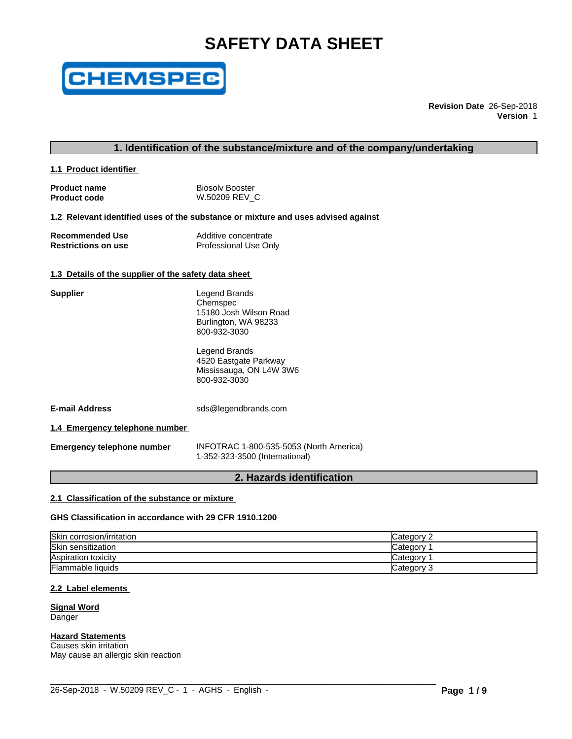# **SAFETY DATA SHEET**



**Revision Date** 26-Sep-2018 **Version** 1

# **1. Identification of the substance/mixture and of the company/undertaking**

**1.1 Product identifier** 

| <b>Product name</b> | <b>Biosoly Booster</b> |
|---------------------|------------------------|
| <b>Product code</b> | W.50209 REV C          |

#### **1.2 Relevant identified uses of the substance or mixture and uses advised against**

| <b>Recommended Use</b>     | Additive concentrate  |
|----------------------------|-----------------------|
| <b>Restrictions on use</b> | Professional Use Only |

#### **1.3 Details of the supplier of the safety data sheet**

| <b>Supplier</b>                | Legend Brands<br>Chemspec<br>15180 Josh Wilson Road<br>Burlington, WA 98233<br>800-932-3030 |
|--------------------------------|---------------------------------------------------------------------------------------------|
|                                | Legend Brands<br>4520 Eastgate Parkway<br>Mississauga, ON L4W 3W6<br>800-932-3030           |
| <b>E-mail Address</b>          | sds@legendbrands.com                                                                        |
| 1.4 Emergency telephone number |                                                                                             |

**Emergency telephone number** INFOTRAC 1-800-535-5053 (North America) 1-352-323-3500 (International)

# **2. Hazards identification**

# **2.1 Classification of the substance or mixture**

#### **GHS Classification in accordance with 29 CFR 1910.1200**

| Skin corrosion/irritation | Categorv   |
|---------------------------|------------|
| Skin sensitization        | Category   |
| Aspiration toxicity       | Category   |
| <b>Flammable liquids</b>  | Category 3 |

 $\_$  ,  $\_$  ,  $\_$  ,  $\_$  ,  $\_$  ,  $\_$  ,  $\_$  ,  $\_$  ,  $\_$  ,  $\_$  ,  $\_$  ,  $\_$  ,  $\_$  ,  $\_$  ,  $\_$  ,  $\_$  ,  $\_$  ,  $\_$  ,  $\_$  ,  $\_$  ,  $\_$  ,  $\_$  ,  $\_$  ,  $\_$  ,  $\_$  ,  $\_$  ,  $\_$  ,  $\_$  ,  $\_$  ,  $\_$  ,  $\_$  ,  $\_$  ,  $\_$  ,  $\_$  ,  $\_$  ,  $\_$  ,  $\_$  ,

#### **2.2 Label elements**

#### **Signal Word** Danger

#### **Hazard Statements**

Causes skin irritation May cause an allergic skin reaction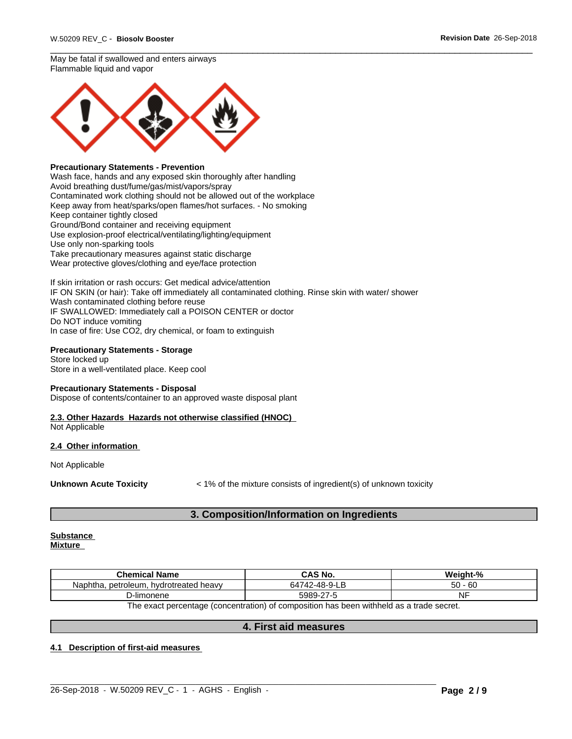May be fatal if swallowed and enters airways Flammable liquid and vapor



#### **Precautionary Statements - Prevention**

Wash face, hands and any exposed skin thoroughly after handling Avoid breathing dust/fume/gas/mist/vapors/spray Contaminated work clothing should not be allowed out of the workplace Keep away from heat/sparks/open flames/hot surfaces. - No smoking Keep container tightly closed Ground/Bond container and receiving equipment Use explosion-proof electrical/ventilating/lighting/equipment Use only non-sparking tools Take precautionary measures against static discharge Wear protective gloves/clothing and eye/face protection

If skin irritation or rash occurs: Get medical advice/attention IF ON SKIN (or hair): Take off immediately all contaminated clothing. Rinse skin with water/ shower Wash contaminated clothing before reuse IF SWALLOWED: Immediately call a POISON CENTER or doctor Do NOT induce vomiting In case of fire: Use CO2, dry chemical, or foam to extinguish

#### **Precautionary Statements - Storage**

Store locked up Store in a well-ventilated place. Keep cool

#### **Precautionary Statements - Disposal**

Dispose of contents/container to an approved waste disposal plant

# **2.3. Other Hazards Hazards not otherwise classified (HNOC)**

Not Applicable

#### **2.4 Other information**

Not Applicable

**Unknown Acute Toxicity**  $\lt$  1% of the mixture consists of ingredient(s) of unknown toxicity

# **3. Composition/Information on Ingredients**

#### **Substance Mixture**

| Chemical.<br>.<br>Name                       | ົ AS No.               | - 04<br><i>Mojobt-</i>         |
|----------------------------------------------|------------------------|--------------------------------|
| hydrotreated<br>i heavv<br>netroleum<br>Nap. | $1742 - 48 - 9$<br>771 | r c<br>$\sim$<br>юU<br>~<br>ບບ |
| D-limonene                                   | $\sim$<br>5989         | .<br>Nŀ                        |

The exact percentage (concentration) of composition has been withheld as a trade secret.

# **4. First aid measures**

 $\_$  ,  $\_$  ,  $\_$  ,  $\_$  ,  $\_$  ,  $\_$  ,  $\_$  ,  $\_$  ,  $\_$  ,  $\_$  ,  $\_$  ,  $\_$  ,  $\_$  ,  $\_$  ,  $\_$  ,  $\_$  ,  $\_$  ,  $\_$  ,  $\_$  ,  $\_$  ,  $\_$  ,  $\_$  ,  $\_$  ,  $\_$  ,  $\_$  ,  $\_$  ,  $\_$  ,  $\_$  ,  $\_$  ,  $\_$  ,  $\_$  ,  $\_$  ,  $\_$  ,  $\_$  ,  $\_$  ,  $\_$  ,  $\_$  ,

#### **4.1 Description of first-aid measures**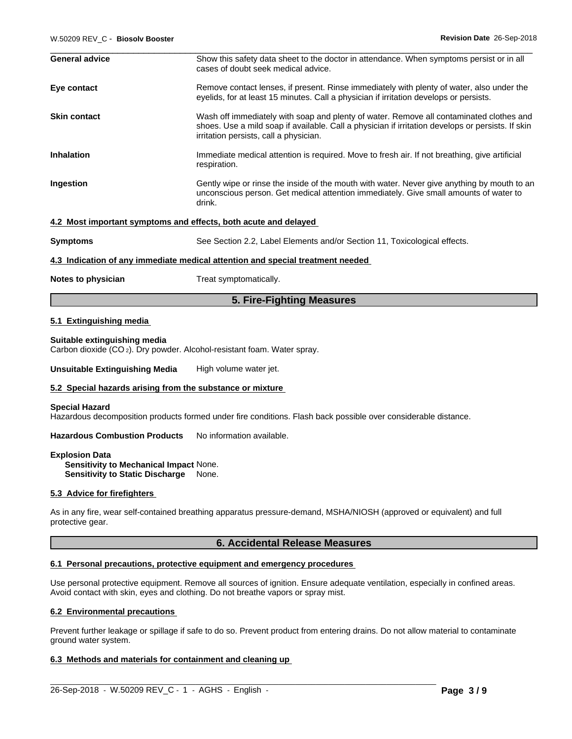| W.50209 REV C - Biosolv Booster | Revision Date 26-Sep-2018                                                                                                                                                                                                              |
|---------------------------------|----------------------------------------------------------------------------------------------------------------------------------------------------------------------------------------------------------------------------------------|
| <b>General advice</b>           | Show this safety data sheet to the doctor in attendance. When symptoms persist or in all<br>cases of doubt seek medical advice.                                                                                                        |
| Eye contact                     | Remove contact lenses, if present. Rinse immediately with plenty of water, also under the<br>eyelids, for at least 15 minutes. Call a physician if irritation develops or persists.                                                    |
| <b>Skin contact</b>             | Wash off immediately with soap and plenty of water. Remove all contaminated clothes and<br>shoes. Use a mild soap if available. Call a physician if irritation develops or persists. If skin<br>irritation persists, call a physician. |
| <b>Inhalation</b>               | Immediate medical attention is required. Move to fresh air. If not breathing, give artificial<br>respiration.                                                                                                                          |
| Ingestion                       | Gently wipe or rinse the inside of the mouth with water. Never give anything by mouth to an<br>unconscious person. Get medical attention immediately. Give small amounts of water to<br>drink.                                         |
|                                 | 4.2 Most important symptoms and effects, both acute and delayed                                                                                                                                                                        |
| <b>Symptoms</b>                 | See Section 2.2, Label Elements and/or Section 11, Toxicological effects.                                                                                                                                                              |
|                                 | 4.3 Indication of any immediate medical attention and special treatment needed                                                                                                                                                         |
| Notes to physician              | Treat symptomatically.                                                                                                                                                                                                                 |

#### **5. Fire-Fighting Measures**

#### **5.1 Extinguishing media**

#### **Suitable extinguishing media**

Carbon dioxide (CO 2). Dry powder. Alcohol-resistant foam. Water spray.

**Unsuitable Extinguishing Media** High volume water jet.

#### **5.2 Special hazards arising from the substance or mixture**

#### **Special Hazard**

Hazardous decomposition products formed under fire conditions. Flash back possible over considerable distance.

**Hazardous Combustion Products** No information available.

**Explosion Data Sensitivity to Mechanical Impact** None. **Sensitivity to Static Discharge** None.

#### **5.3 Advice for firefighters**

As in any fire, wear self-contained breathing apparatus pressure-demand, MSHA/NIOSH (approved or equivalent) and full protective gear.

# **6. Accidental Release Measures**

#### **6.1 Personal precautions, protective equipment and emergency procedures**

Use personal protective equipment. Remove all sources of ignition. Ensure adequate ventilation, especially in confined areas. Avoid contact with skin, eyes and clothing. Do not breathe vapors or spray mist.

#### **6.2 Environmental precautions**

Prevent further leakage or spillage if safe to do so. Prevent product from entering drains. Do not allow material to contaminate ground water system.

 $\_$  ,  $\_$  ,  $\_$  ,  $\_$  ,  $\_$  ,  $\_$  ,  $\_$  ,  $\_$  ,  $\_$  ,  $\_$  ,  $\_$  ,  $\_$  ,  $\_$  ,  $\_$  ,  $\_$  ,  $\_$  ,  $\_$  ,  $\_$  ,  $\_$  ,  $\_$  ,  $\_$  ,  $\_$  ,  $\_$  ,  $\_$  ,  $\_$  ,  $\_$  ,  $\_$  ,  $\_$  ,  $\_$  ,  $\_$  ,  $\_$  ,  $\_$  ,  $\_$  ,  $\_$  ,  $\_$  ,  $\_$  ,  $\_$  ,

#### **6.3 Methods and materials for containment and cleaning up**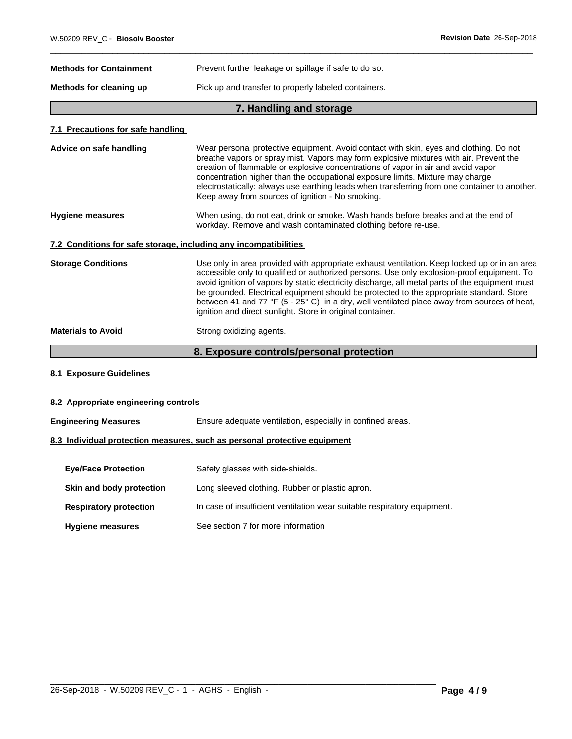| <b>Methods for Containment</b> | Prevent further leakage or spillage if safe to do so. |
|--------------------------------|-------------------------------------------------------|
| Methods for cleaning up        | Pick up and transfer to properly labeled containers.  |

# **7. Handling and storage and storage and storage and storage and storage and storage and storage and storage and storage and storage and storage and storage and storage and storage and storage and storage and storage and s**

### **7.1 Precautions for safe handling**

# **8.1 Exposure Guidelines**

### **8.2 Appropriate engineering controls**

| <b>Engineering Measures</b> | Ensure adequate ventilation, especially in confined areas. |
|-----------------------------|------------------------------------------------------------|
|-----------------------------|------------------------------------------------------------|

# **8.3 Individual protection measures, such as personal protective equipment**

| <b>Eye/Face Protection</b>    | Safety glasses with side-shields.                                        |
|-------------------------------|--------------------------------------------------------------------------|
| Skin and body protection      | Long sleeved clothing. Rubber or plastic apron.                          |
| <b>Respiratory protection</b> | In case of insufficient ventilation wear suitable respiratory equipment. |
| <b>Hygiene measures</b>       | See section 7 for more information                                       |

 $\_$  ,  $\_$  ,  $\_$  ,  $\_$  ,  $\_$  ,  $\_$  ,  $\_$  ,  $\_$  ,  $\_$  ,  $\_$  ,  $\_$  ,  $\_$  ,  $\_$  ,  $\_$  ,  $\_$  ,  $\_$  ,  $\_$  ,  $\_$  ,  $\_$  ,  $\_$  ,  $\_$  ,  $\_$  ,  $\_$  ,  $\_$  ,  $\_$  ,  $\_$  ,  $\_$  ,  $\_$  ,  $\_$  ,  $\_$  ,  $\_$  ,  $\_$  ,  $\_$  ,  $\_$  ,  $\_$  ,  $\_$  ,  $\_$  ,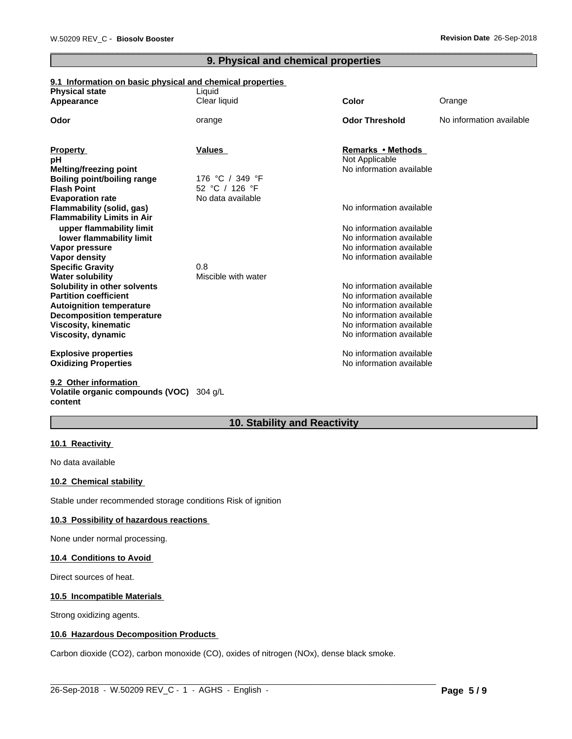# **9. Physical and chemical properties**

# **9.1 Information on basic physical and chemical properties**

| <b>Physical state</b><br>Appearance                          | Liquid<br>Clear liquid | <b>Color</b>             | Orange                   |
|--------------------------------------------------------------|------------------------|--------------------------|--------------------------|
|                                                              |                        |                          |                          |
| Odor                                                         | orange                 | <b>Odor Threshold</b>    | No information available |
|                                                              | Values                 | Remarks • Methods        |                          |
| <b>Property</b><br>рH                                        |                        | Not Applicable           |                          |
| <b>Melting/freezing point</b>                                |                        | No information available |                          |
| <b>Boiling point/boiling range</b>                           | 176 °C / 349 °F        |                          |                          |
| <b>Flash Point</b>                                           | 52 °C / 126 °F         |                          |                          |
| <b>Evaporation rate</b>                                      | No data available      |                          |                          |
| Flammability (solid, gas)                                    |                        | No information available |                          |
| <b>Flammability Limits in Air</b>                            |                        |                          |                          |
| upper flammability limit                                     |                        | No information available |                          |
| lower flammability limit                                     |                        | No information available |                          |
| Vapor pressure                                               |                        | No information available |                          |
| Vapor density                                                |                        | No information available |                          |
| <b>Specific Gravity</b>                                      | 0.8                    |                          |                          |
| <b>Water solubility</b>                                      | Miscible with water    | No information available |                          |
| Solubility in other solvents<br><b>Partition coefficient</b> |                        | No information available |                          |
| <b>Autoignition temperature</b>                              |                        | No information available |                          |
| <b>Decomposition temperature</b>                             |                        | No information available |                          |
| <b>Viscosity, kinematic</b>                                  |                        | No information available |                          |
| Viscosity, dynamic                                           |                        | No information available |                          |
| <b>Explosive properties</b>                                  |                        | No information available |                          |
| <b>Oxidizing Properties</b>                                  |                        | No information available |                          |
| 9.2 Other information                                        |                        |                          |                          |

# **Volatile organic compounds (VOC)** 304 g/L **content**

# **10. Stability and Reactivity**

 $\_$  ,  $\_$  ,  $\_$  ,  $\_$  ,  $\_$  ,  $\_$  ,  $\_$  ,  $\_$  ,  $\_$  ,  $\_$  ,  $\_$  ,  $\_$  ,  $\_$  ,  $\_$  ,  $\_$  ,  $\_$  ,  $\_$  ,  $\_$  ,  $\_$  ,  $\_$  ,  $\_$  ,  $\_$  ,  $\_$  ,  $\_$  ,  $\_$  ,  $\_$  ,  $\_$  ,  $\_$  ,  $\_$  ,  $\_$  ,  $\_$  ,  $\_$  ,  $\_$  ,  $\_$  ,  $\_$  ,  $\_$  ,  $\_$  ,

# **10.1 Reactivity**

No data available

## **10.2 Chemical stability**

Stable under recommended storage conditions Risk of ignition

#### **10.3 Possibility of hazardous reactions**

None under normal processing.

#### **10.4 Conditions to Avoid**

Direct sources of heat.

#### **10.5 Incompatible Materials**

Strong oxidizing agents.

# **10.6 Hazardous Decomposition Products**

Carbon dioxide (CO2), carbon monoxide (CO), oxides of nitrogen (NOx), dense black smoke.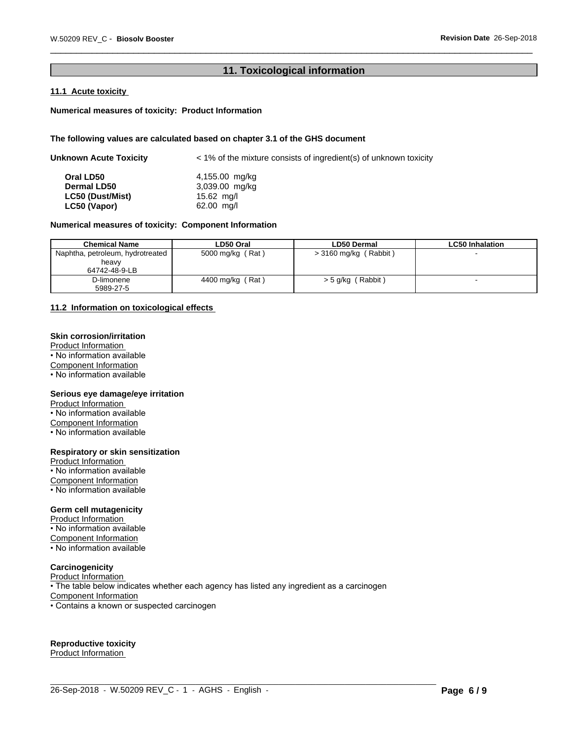# **11. Toxicological information**

# **11.1 Acute toxicity**

#### **Numerical measures of toxicity: Product Information**

#### **The following values are calculated based on chapter 3.1 of the GHS document**

| Unknown Acute Toxicity | $\leq$ 1% of the mixture consists of ingredient(s) of unknown toxicity |  |  |
|------------------------|------------------------------------------------------------------------|--|--|
| Oral LD50              | 4,155.00 mg/kg                                                         |  |  |
| <b>Dermal LD50</b>     | 3,039.00 mg/kg                                                         |  |  |
| LC50 (Dust/Mist)       | 15.62 mg/l                                                             |  |  |
| LC50 (Vapor)           | 62.00 mg/l                                                             |  |  |

#### **Numerical measures of toxicity: Component Information**

| <b>Chemical Name</b>             | LD50 Oral        | <b>LD50 Dermal</b>       | <b>LC50 Inhalation</b> |
|----------------------------------|------------------|--------------------------|------------------------|
| Naphtha, petroleum, hydrotreated | 5000 mg/kg (Rat) | $>$ 3160 mg/kg (Rabbit)  |                        |
| heavv                            |                  |                          |                        |
| 64742-48-9-LB                    |                  |                          |                        |
| D-limonene                       | 4400 mg/kg (Rat) | (Rabbit)<br>$>$ 5 g/kg ( |                        |
| 5989-27-5                        |                  |                          |                        |

#### **11.2 Information on toxicologicaleffects**

# **Skin corrosion/irritation**

Product Information • No information available

Component Information

• No information available

#### **Serious eye damage/eye irritation**

Product Information • No information available Component Information • No information available

#### **Respiratory or skin sensitization**

Product Information • No information available Component Information • No information available

#### **Germ cell mutagenicity**

Product Information

• No information available Component Information

• No information available

# **Carcinogenicity**

Product Information • The table below indicates whether each agency has listed any ingredient as a carcinogen Component Information • Contains a known or suspected carcinogen

# **Reproductive toxicity**

Product Information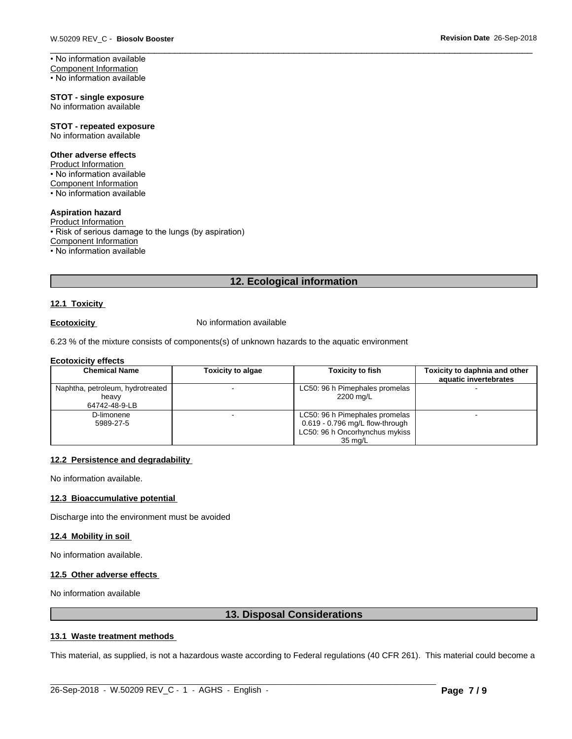• No information available

**STOT - single exposure** No information available

#### **STOT - repeated exposure** No information available

#### **Other adverse effects**

Product Information • No information available Component Information • No information available

#### **Aspiration hazard**

Product Information • Risk of serious damage to the lungs (by aspiration) Component Information • No information available

# **12. Ecological information**

#### **12.1 Toxicity**

**Ecotoxicity No information available** 

6.23 % of the mixture consists of components(s) of unknown hazards to the aquatic environment

#### **Ecotoxicity effects**

| <b>Chemical Name</b>             | <b>Toxicity to algae</b> | <b>Toxicity to fish</b>                                             | Toxicity to daphnia and other<br>aquatic invertebrates |
|----------------------------------|--------------------------|---------------------------------------------------------------------|--------------------------------------------------------|
| Naphtha, petroleum, hydrotreated |                          | LC50: 96 h Pimephales promelas                                      |                                                        |
| heavv<br>64742-48-9-LB           |                          | 2200 mg/L                                                           |                                                        |
| D-limonene                       |                          | LC50: 96 h Pimephales promelas                                      |                                                        |
| 5989-27-5                        |                          | $0.619 - 0.796$ mg/L flow-through<br>LC50: 96 h Oncorhynchus mykiss |                                                        |
|                                  |                          | $35 \text{ ma/L}$                                                   |                                                        |

#### **12.2 Persistence and degradability**

No information available.

# **12.3 Bioaccumulative potential**

Discharge into the environment must be avoided

#### **12.4 Mobility in soil**

No information available.

#### **12.5 Other adverse effects**

No information available

### **13. Disposal Considerations**

# **13.1 Waste treatment methods**

This material, as supplied, is not a hazardous waste according to Federal regulations (40 CFR 261). This material could become a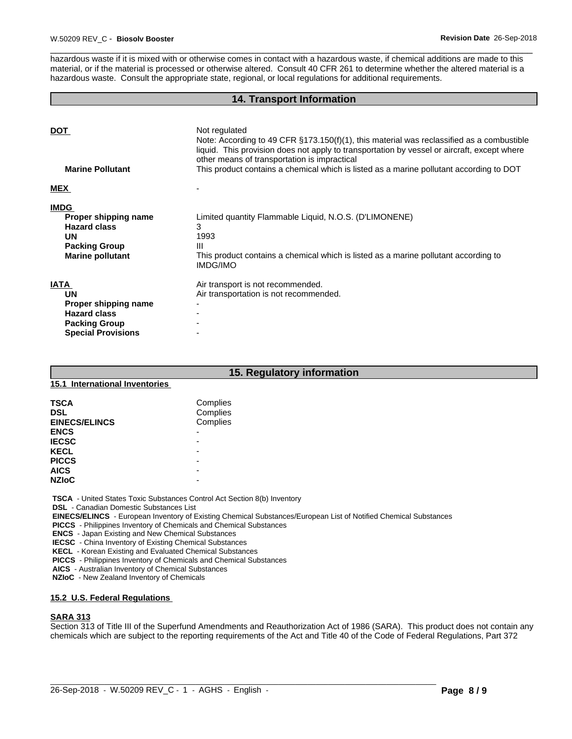hazardous waste if it is mixed with or otherwise comes in contact with a hazardous waste, if chemical additions are made to this material, or if the material is processed or otherwise altered. Consult 40 CFR 261 to determine whether the altered material is a hazardous waste. Consult the appropriate state, regional, or local regulations for additional requirements.

#### **14. Transport Information**

| <b>DOT</b><br><b>Marine Pollutant</b> | Not regulated<br>Note: According to 49 CFR $\S173.150(f)(1)$ , this material was reclassified as a combustible<br>liquid. This provision does not apply to transportation by vessel or aircraft, except where<br>other means of transportation is impractical<br>This product contains a chemical which is listed as a marine pollutant according to DOT |
|---------------------------------------|----------------------------------------------------------------------------------------------------------------------------------------------------------------------------------------------------------------------------------------------------------------------------------------------------------------------------------------------------------|
| <b>MEX</b>                            |                                                                                                                                                                                                                                                                                                                                                          |
| <b>IMDG</b>                           |                                                                                                                                                                                                                                                                                                                                                          |
| Proper shipping name                  | Limited quantity Flammable Liquid, N.O.S. (D'LIMONENE)                                                                                                                                                                                                                                                                                                   |
| <b>Hazard class</b>                   | 3                                                                                                                                                                                                                                                                                                                                                        |
| <b>UN</b>                             | 1993                                                                                                                                                                                                                                                                                                                                                     |
| <b>Packing Group</b>                  | Ш                                                                                                                                                                                                                                                                                                                                                        |
| <b>Marine pollutant</b>               | This product contains a chemical which is listed as a marine pollutant according to<br><b>IMDG/IMO</b>                                                                                                                                                                                                                                                   |
| <b>IATA</b>                           | Air transport is not recommended.                                                                                                                                                                                                                                                                                                                        |
| <b>UN</b>                             | Air transportation is not recommended.                                                                                                                                                                                                                                                                                                                   |
| Proper shipping name                  |                                                                                                                                                                                                                                                                                                                                                          |
| <b>Hazard class</b>                   |                                                                                                                                                                                                                                                                                                                                                          |
| <b>Packing Group</b>                  |                                                                                                                                                                                                                                                                                                                                                          |
| <b>Special Provisions</b>             |                                                                                                                                                                                                                                                                                                                                                          |

# **15. Regulatory information**

#### **15.1 International Inventories**

| <b>TSCA</b><br><b>DSL</b><br><b>EINECS/ELINCS</b> | Complies<br>Complies<br>Complies |  |
|---------------------------------------------------|----------------------------------|--|
| <b>ENCS</b>                                       | -                                |  |
| <b>IECSC</b>                                      | -                                |  |
| <b>KECL</b>                                       |                                  |  |
| <b>PICCS</b>                                      |                                  |  |
| <b>AICS</b>                                       | -                                |  |
| <b>NZIOC</b>                                      |                                  |  |

 **TSCA** - United States Toxic Substances Control Act Section 8(b) Inventory

 **DSL** - Canadian Domestic Substances List

 **EINECS/ELINCS** - European Inventory of Existing Chemical Substances/European List of Notified Chemical Substances

 **PICCS** - Philippines Inventory of Chemicals and Chemical Substances

 **ENCS** - Japan Existing and New Chemical Substances

 **IECSC** - China Inventory of Existing Chemical Substances

 **KECL** - Korean Existing and Evaluated Chemical Substances

 **PICCS** - Philippines Inventory of Chemicals and Chemical Substances

 **AICS** - Australian Inventory of Chemical Substances

 **NZIoC** - New Zealand Inventory of Chemicals

# **15.2 U.S. Federal Regulations**

#### **SARA 313**

Section 313 of Title III of the Superfund Amendments and Reauthorization Act of 1986 (SARA). This product does not contain any chemicals which are subject to the reporting requirements of the Act and Title 40 of the Code of Federal Regulations, Part 372

 $\_$  ,  $\_$  ,  $\_$  ,  $\_$  ,  $\_$  ,  $\_$  ,  $\_$  ,  $\_$  ,  $\_$  ,  $\_$  ,  $\_$  ,  $\_$  ,  $\_$  ,  $\_$  ,  $\_$  ,  $\_$  ,  $\_$  ,  $\_$  ,  $\_$  ,  $\_$  ,  $\_$  ,  $\_$  ,  $\_$  ,  $\_$  ,  $\_$  ,  $\_$  ,  $\_$  ,  $\_$  ,  $\_$  ,  $\_$  ,  $\_$  ,  $\_$  ,  $\_$  ,  $\_$  ,  $\_$  ,  $\_$  ,  $\_$  ,